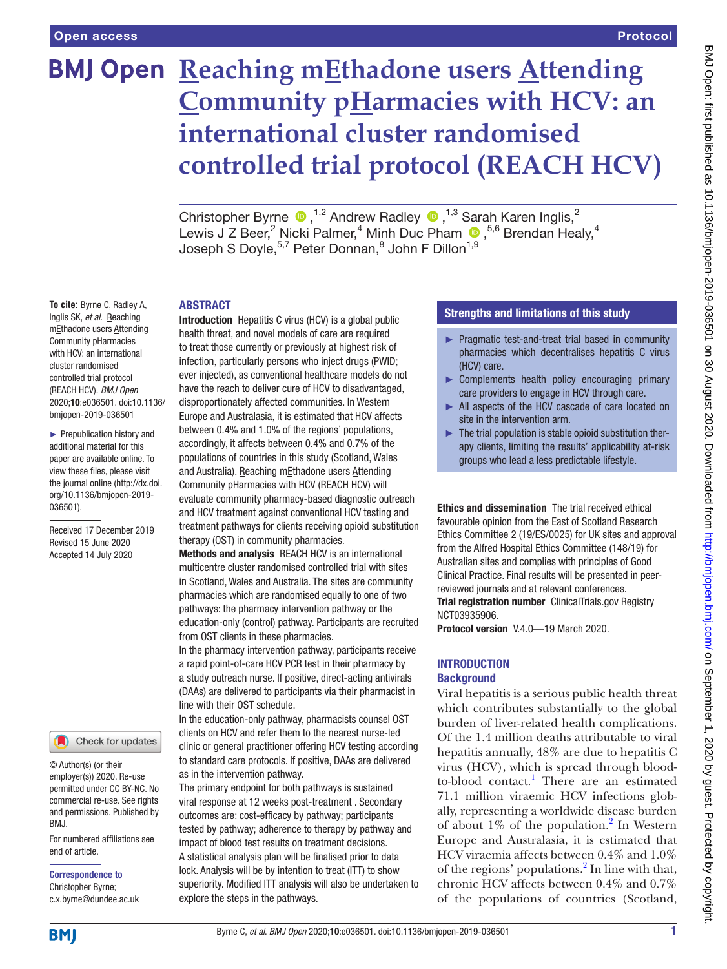# **BMJ Open Reaching mEthadone users Attending Community pHarmacies with HCV: an international cluster randomised controlled trial protocol (REACH HCV)**

Christopher Byrne  $\bullet$ ,<sup>1,2</sup> Andrew Radley  $\bullet$ ,<sup>1,3</sup> Sarah Karen Inglis,<sup>2</sup> Lewis J Z Beer,<sup>2</sup> Nicki Palmer,<sup>4</sup> Minh Duc Pham  $\bigcirc$  , <sup>5,6</sup> Brendan Healy,<sup>4</sup> Joseph S Doyle, $^{5,7}$  Peter Donnan, $^8$  John F Dillon $^{1,9}$ 

#### **To cite:** Byrne C, Radley A, Inglis SK, *et al*. Reaching mEthadone users Attending Community pHarmacies with HCV: an international cluster randomised controlled trial protocol (REACH HCV). *BMJ Open* 2020;10:e036501. doi:10.1136/ bmjopen-2019-036501

► Prepublication history and additional material for this paper are available online. To view these files, please visit the journal online (http://dx.doi. org/10.1136/bmjopen-2019- 036501).

Received 17 December 2019 Revised 15 June 2020 Accepted 14 July 2020



© Author(s) (or their employer(s)) 2020. Re-use permitted under CC BY-NC. No commercial re-use. See rights and permissions. Published by BMJ.

For numbered affiliations see end of article.

Correspondence to Christopher Byrne; c.x.byrne@dundee.ac.uk

## ABSTRACT

Introduction Hepatitis C virus (HCV) is a global public health threat, and novel models of care are required to treat those currently or previously at highest risk of infection, particularly persons who inject drugs (PWID; ever injected), as conventional healthcare models do not have the reach to deliver cure of HCV to disadvantaged, disproportionately affected communities. In Western Europe and Australasia, it is estimated that HCV affects between 0.4% and 1.0% of the regions' populations, accordingly, it affects between 0.4% and 0.7% of the populations of countries in this study (Scotland, Wales and Australia). Reaching mEthadone users Attending Community pHarmacies with HCV (REACH HCV) will evaluate community pharmacy-based diagnostic outreach and HCV treatment against conventional HCV testing and treatment pathways for clients receiving opioid substitution therapy (OST) in community pharmacies.

Methods and analysis REACH HCV is an international multicentre cluster randomised controlled trial with sites in Scotland, Wales and Australia. The sites are community pharmacies which are randomised equally to one of two pathways: the pharmacy intervention pathway or the education-only (control) pathway. Participants are recruited from OST clients in these pharmacies.

In the pharmacy intervention pathway, participants receive a rapid point-of-care HCV PCR test in their pharmacy by a study outreach nurse. If positive, direct-acting antivirals (DAAs) are delivered to participants via their pharmacist in line with their OST schedule.

In the education-only pathway, pharmacists counsel OST clients on HCV and refer them to the nearest nurse-led clinic or general practitioner offering HCV testing according to standard care protocols. If positive, DAAs are delivered as in the intervention pathway.

The primary endpoint for both pathways is sustained viral response at 12 weeks post-treatment . Secondary outcomes are: cost-efficacy by pathway; participants tested by pathway; adherence to therapy by pathway and impact of blood test results on treatment decisions. A statistical analysis plan will be finalised prior to data lock. Analysis will be by intention to treat (ITT) to show superiority. Modified ITT analysis will also be undertaken to explore the steps in the pathways.

#### Strengths and limitations of this study

- ► Pragmatic test-and-treat trial based in community pharmacies which decentralises hepatitis C virus (HCV) care.
- ► Complements health policy encouraging primary care providers to engage in HCV through care.
- All aspects of the HCV cascade of care located on site in the intervention arm.
- $\blacktriangleright$  The trial population is stable opioid substitution therapy clients, limiting the results' applicability at-risk groups who lead a less predictable lifestyle.

Ethics and dissemination The trial received ethical favourable opinion from the East of Scotland Research Ethics Committee 2 (19/ES/0025) for UK sites and approval from the Alfred Hospital Ethics Committee (148/19) for Australian sites and complies with principles of Good Clinical Practice. Final results will be presented in peerreviewed journals and at relevant conferences. Trial registration number ClinicalTrials.gov Registry

[NCT03935906.](NCT03935906)

Protocol version V.4.0-19 March 2020.

## INTRODUCTION **Background**

Viral hepatitis is a serious public health threat which contributes substantially to the global burden of liver-related health complications. Of the 1.4 million deaths attributable to viral hepatitis annually, 48% are due to hepatitis C virus (HCV), which is spread through bloodto-blood contact.<sup>1</sup> There are an estimated 71.1 million viraemic HCV infections globally, representing a worldwide disease burden of about 1% of the population.<sup>[2](#page-7-1)</sup> In Western Europe and Australasia, it is estimated that HCV viraemia affects between 0.4% and 1.0% of the regions' populations.<sup>[2](#page-7-1)</sup> In line with that, chronic HCV affects between 0.4% and 0.7% of the populations of countries (Scotland,

**BMI**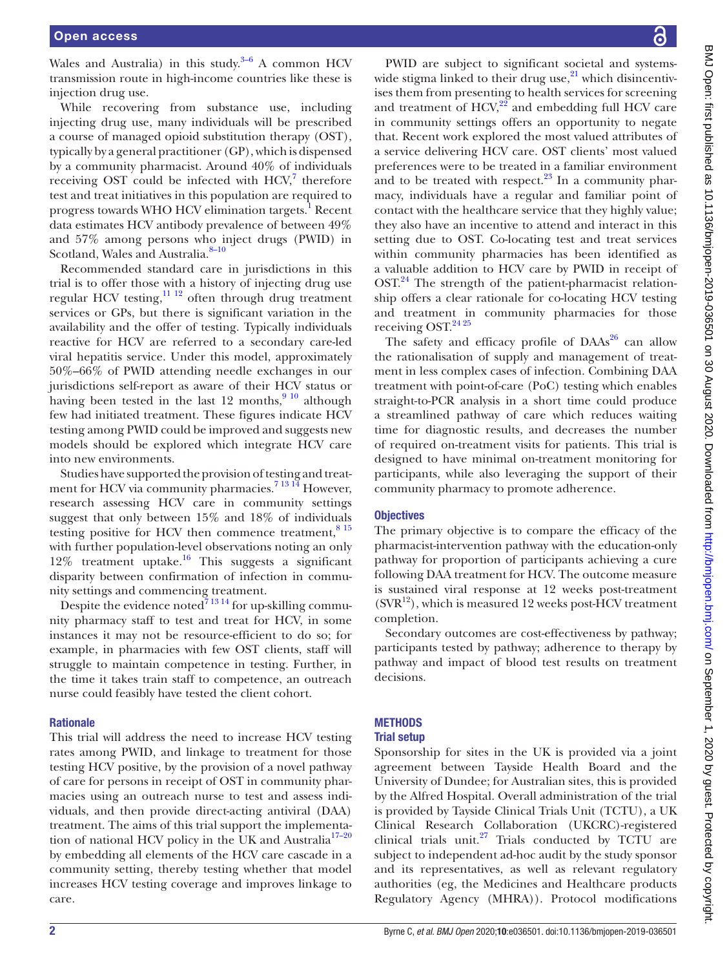Wales and Australia) in this study. $3-6$  A common HCV transmission route in high-income countries like these is injection drug use.

While recovering from substance use, including injecting drug use, many individuals will be prescribed a course of managed opioid substitution therapy (OST), typically by a general practitioner (GP), which is dispensed by a community pharmacist. Around 40% of individuals receiving OST could be infected with  $HCV$ , therefore test and treat initiatives in this population are required to progress towards WHO HCV elimination targets.<sup>1</sup> Recent data estimates HCV antibody prevalence of between 49% and 57% among persons who inject drugs (PWID) in Scotland, Wales and Australia.<sup>8-10</sup>

Recommended standard care in jurisdictions in this trial is to offer those with a history of injecting drug use regular HCV testing, $\frac{11}{12}$  often through drug treatment services or GPs, but there is significant variation in the availability and the offer of testing. Typically individuals reactive for HCV are referred to a secondary care-led viral hepatitis service. Under this model, approximately 50%–66% of PWID attending needle exchanges in our jurisdictions self-report as aware of their HCV status or having been tested in the last 12 months,  $9^{10}$  although few had initiated treatment. These figures indicate HCV testing among PWID could be improved and suggests new models should be explored which integrate HCV care into new environments.

Studies have supported the provision of testing and treatment for HCV via community pharmacies.<sup>7 13 14</sup> However, research assessing HCV care in community settings suggest that only between 15% and 18% of individuals testing positive for HCV then commence treatment, $8^{15}$ with further population-level observations noting an only 12% treatment uptake.[16](#page-7-7) This suggests a significant disparity between confirmation of infection in community settings and commencing treatment.

Despite the evidence noted<sup>71314</sup> for up-skilling community pharmacy staff to test and treat for HCV, in some instances it may not be resource-efficient to do so; for example, in pharmacies with few OST clients, staff will struggle to maintain competence in testing. Further, in the time it takes train staff to competence, an outreach nurse could feasibly have tested the client cohort.

#### Rationale

This trial will address the need to increase HCV testing rates among PWID, and linkage to treatment for those testing HCV positive, by the provision of a novel pathway of care for persons in receipt of OST in community pharmacies using an outreach nurse to test and assess individuals, and then provide direct-acting antiviral (DAA) treatment. The aims of this trial support the implementation of national HCV policy in the UK and Australia<sup>17-20</sup> by embedding all elements of the HCV care cascade in a community setting, thereby testing whether that model increases HCV testing coverage and improves linkage to care.

PWID are subject to significant societal and systemswide stigma linked to their drug use, $21$  which disincentivises them from presenting to health services for screening and treatment of HCV, $^{22}$  and embedding full HCV care in community settings offers an opportunity to negate that. Recent work explored the most valued attributes of a service delivering HCV care. OST clients' most valued preferences were to be treated in a familiar environment and to be treated with respect. $^{23}$  In a community pharmacy, individuals have a regular and familiar point of contact with the healthcare service that they highly value; they also have an incentive to attend and interact in this setting due to OST. Co-locating test and treat services within community pharmacies has been identified as a valuable addition to HCV care by PWID in receipt of  $OST<sup>24</sup>$  The strength of the patient-pharmacist relationship offers a clear rationale for co-locating HCV testing and treatment in community pharmacies for those receiving OST.<sup>[24 25](#page-7-12)</sup>

The safety and efficacy profile of  $\text{D}A\text{As}^{26}$  can allow the rationalisation of supply and management of treatment in less complex cases of infection. Combining DAA treatment with point-of-care (PoC) testing which enables straight-to-PCR analysis in a short time could produce a streamlined pathway of care which reduces waiting time for diagnostic results, and decreases the number of required on-treatment visits for patients. This trial is designed to have minimal on-treatment monitoring for participants, while also leveraging the support of their community pharmacy to promote adherence.

#### **Objectives**

The primary objective is to compare the efficacy of the pharmacist-intervention pathway with the education-only pathway for proportion of participants achieving a cure following DAA treatment for HCV. The outcome measure is sustained viral response at 12 weeks post-treatment  $(SVR<sup>12</sup>)$ , which is measured 12 weeks post-HCV treatment completion.

Secondary outcomes are cost-effectiveness by pathway; participants tested by pathway; adherence to therapy by pathway and impact of blood test results on treatment decisions.

## **METHODS**

#### Trial setup

Sponsorship for sites in the UK is provided via a joint agreement between Tayside Health Board and the University of Dundee; for Australian sites, this is provided by the Alfred Hospital. Overall administration of the trial is provided by Tayside Clinical Trials Unit (TCTU), a UK Clinical Research Collaboration (UKCRC)-registered clinical trials unit. $27$  Trials conducted by TCTU are subject to independent ad-hoc audit by the study sponsor and its representatives, as well as relevant regulatory authorities (eg, the Medicines and Healthcare products Regulatory Agency (MHRA)). Protocol modifications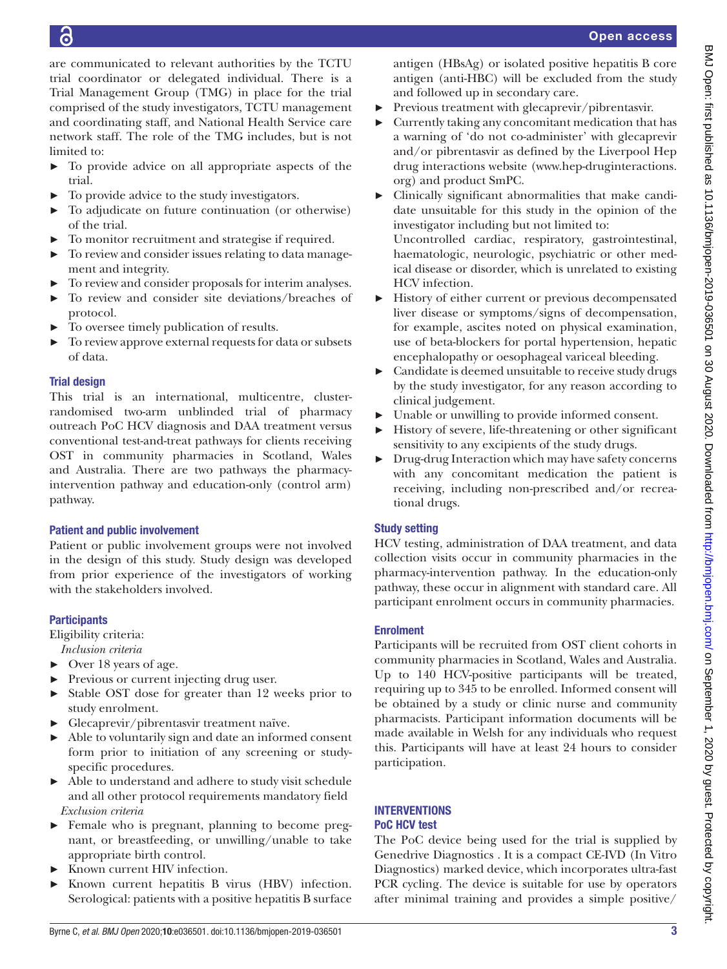are communicated to relevant authorities by the TCTU trial coordinator or delegated individual. There is a Trial Management Group (TMG) in place for the trial comprised of the study investigators, TCTU management and coordinating staff, and National Health Service care network staff. The role of the TMG includes, but is not limited to:

- ► To provide advice on all appropriate aspects of the trial.
- To provide advice to the study investigators.
- ► To adjudicate on future continuation (or otherwise) of the trial.
- To monitor recruitment and strategise if required.
- ► To review and consider issues relating to data management and integrity.
- To review and consider proposals for interim analyses.
- ► To review and consider site deviations/breaches of protocol.
- To oversee timely publication of results.
- ► To review approve external requests for data or subsets of data.

## Trial design

This trial is an international, multicentre, clusterrandomised two-arm unblinded trial of pharmacy outreach PoC HCV diagnosis and DAA treatment versus conventional test-and-treat pathways for clients receiving OST in community pharmacies in Scotland, Wales and Australia. There are two pathways the pharmacyintervention pathway and education-only (control arm) pathway.

## Patient and public involvement

Patient or public involvement groups were not involved in the design of this study. Study design was developed from prior experience of the investigators of working with the stakeholders involved.

## **Participants**

Eligibility criteria: *Inclusion criteria*

- ► Over 18 years of age.
- ► Previous or current injecting drug user.
- Stable OST dose for greater than 12 weeks prior to study enrolment.
- ► Glecaprevir/pibrentasvir treatment naïve.
- ► Able to voluntarily sign and date an informed consent form prior to initiation of any screening or studyspecific procedures.
- ► Able to understand and adhere to study visit schedule and all other protocol requirements mandatory field *Exclusion criteria*
- ► Female who is pregnant, planning to become pregnant, or breastfeeding, or unwilling/unable to take appropriate birth control.
- ► Known current HIV infection.
- ► Known current hepatitis B virus (HBV) infection. Serological: patients with a positive hepatitis B surface

antigen (HBsAg) or isolated positive hepatitis B core antigen (anti-HBC) will be excluded from the study and followed up in secondary care.

- ► Previous treatment with glecaprevir/pibrentasvir.
- ► Currently taking any concomitant medication that has a warning of 'do not co-administer' with glecaprevir and/or pibrentasvir as defined by the Liverpool Hep drug interactions website [\(www.hep-druginteractions.](www.hep-druginteractions.org) [org](www.hep-druginteractions.org)) and product SmPC.

► Clinically significant abnormalities that make candidate unsuitable for this study in the opinion of the investigator including but not limited to: Uncontrolled cardiac, respiratory, gastrointestinal, haematologic, neurologic, psychiatric or other medical disease or disorder, which is unrelated to existing HCV infection.

- History of either current or previous decompensated liver disease or symptoms/signs of decompensation, for example, ascites noted on physical examination, use of beta-blockers for portal hypertension, hepatic encephalopathy or oesophageal variceal bleeding.
- ► Candidate is deemed unsuitable to receive study drugs by the study investigator, for any reason according to clinical judgement.
- ► Unable or unwilling to provide informed consent.
- History of severe, life-threatening or other significant sensitivity to any excipients of the study drugs.
- ► Drug-drug Interaction which may have safety concerns with any concomitant medication the patient is receiving, including non-prescribed and/or recreational drugs.

## Study setting

HCV testing, administration of DAA treatment, and data collection visits occur in community pharmacies in the pharmacy-intervention pathway. In the education-only pathway, these occur in alignment with standard care. All participant enrolment occurs in community pharmacies.

## Enrolment

Participants will be recruited from OST client cohorts in community pharmacies in Scotland, Wales and Australia. Up to 140 HCV-positive participants will be treated, requiring up to 345 to be enrolled. Informed consent will be obtained by a study or clinic nurse and community pharmacists. Participant information documents will be made available in Welsh for any individuals who request this. Participants will have at least 24 hours to consider participation.

## **INTERVENTIONS** PoC HCV test

The PoC device being used for the trial is supplied by Genedrive Diagnostics . It is a compact CE-IVD (In Vitro Diagnostics) marked device, which incorporates ultra-fast PCR cycling. The device is suitable for use by operators after minimal training and provides a simple positive/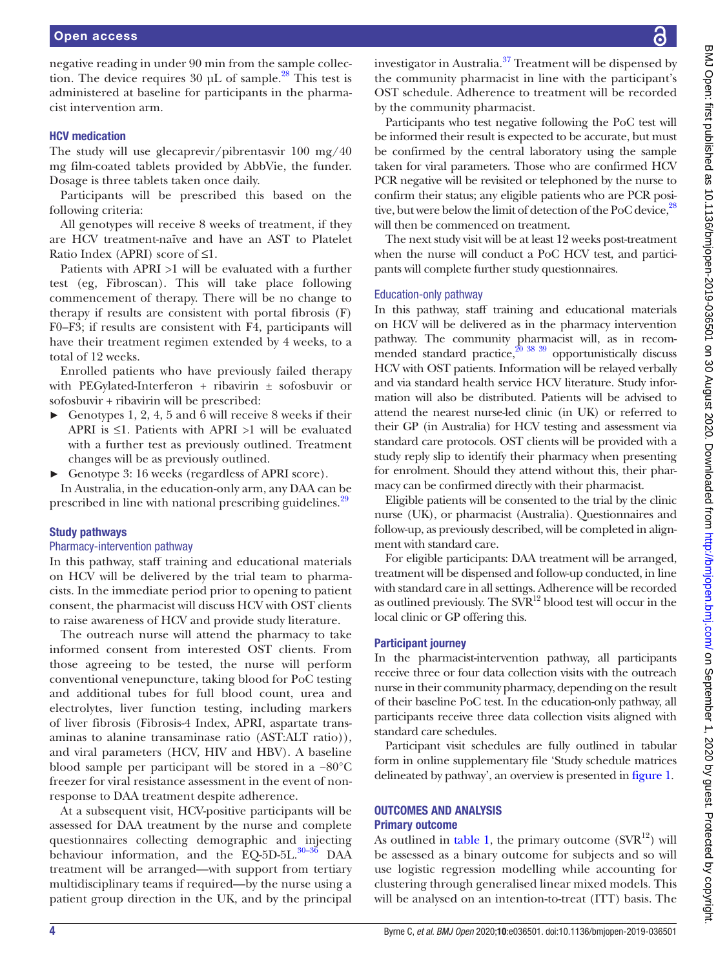negative reading in under 90 min from the sample collection. The device requires 30  $\mu$ L of sample.<sup>[28](#page-7-15)</sup> This test is administered at baseline for participants in the pharmacist intervention arm.

#### HCV medication

The study will use glecaprevir/pibrentasvir 100 mg/40 mg film-coated tablets provided by AbbVie, the funder. Dosage is three tablets taken once daily.

Participants will be prescribed this based on the following criteria:

All genotypes will receive 8 weeks of treatment, if they are HCV treatment-naïve and have an AST to Platelet Ratio Index (APRI) score of  $\leq 1$ .

Patients with APRI >1 will be evaluated with a further test (eg, Fibroscan). This will take place following commencement of therapy. There will be no change to therapy if results are consistent with portal fibrosis (F) F0–F3; if results are consistent with F4, participants will have their treatment regimen extended by 4 weeks, to a total of 12 weeks.

Enrolled patients who have previously failed therapy with PEGylated-Interferon + ribavirin ± sofosbuvir or sofosbuvir + ribavirin will be prescribed:

- $\blacktriangleright$  Genotypes 1, 2, 4, 5 and 6 will receive 8 weeks if their APRI is ≤1. Patients with APRI >1 will be evaluated with a further test as previously outlined. Treatment changes will be as previously outlined.
- Genotype 3: 16 weeks (regardless of APRI score).

In Australia, in the education-only arm, any DAA can be prescribed in line with national prescribing guidelines.<sup>[29](#page-8-0)</sup>

#### Study pathways

#### Pharmacy-intervention pathway

In this pathway, staff training and educational materials on HCV will be delivered by the trial team to pharmacists. In the immediate period prior to opening to patient consent, the pharmacist will discuss HCV with OST clients to raise awareness of HCV and provide study literature.

The outreach nurse will attend the pharmacy to take informed consent from interested OST clients. From those agreeing to be tested, the nurse will perform conventional venepuncture, taking blood for PoC testing and additional tubes for full blood count, urea and electrolytes, liver function testing, including markers of liver fibrosis (Fibrosis-4 Index, APRI, aspartate transaminas to alanine transaminase ratio (AST:ALT ratio)), and viral parameters (HCV, HIV and HBV). A baseline blood sample per participant will be stored in a −80°C freezer for viral resistance assessment in the event of nonresponse to DAA treatment despite adherence.

At a subsequent visit, HCV-positive participants will be assessed for DAA treatment by the nurse and complete questionnaires collecting demographic and injecting behaviour information, and the EQ-5D-5L. $30-36$  DAA treatment will be arranged—with support from tertiary multidisciplinary teams if required—by the nurse using a patient group direction in the UK, and by the principal

investigator in Australia.<sup>37</sup> Treatment will be dispensed by the community pharmacist in line with the participant's OST schedule. Adherence to treatment will be recorded by the community pharmacist.

Participants who test negative following the PoC test will be informed their result is expected to be accurate, but must be confirmed by the central laboratory using the sample taken for viral parameters. Those who are confirmed HCV PCR negative will be revisited or telephoned by the nurse to confirm their status; any eligible patients who are PCR positive, but were below the limit of detection of the PoC device, <sup>28</sup> will then be commenced on treatment.

The next study visit will be at least 12 weeks post-treatment when the nurse will conduct a PoC HCV test, and participants will complete further study questionnaires.

#### Education-only pathway

In this pathway, staff training and educational materials on HCV will be delivered as in the pharmacy intervention pathway. The community pharmacist will, as in recommended standard practice, $2^{0}$  38 39 opportunistically discuss HCV with OST patients. Information will be relayed verbally and via standard health service HCV literature. Study information will also be distributed. Patients will be advised to attend the nearest nurse-led clinic (in UK) or referred to their GP (in Australia) for HCV testing and assessment via standard care protocols. OST clients will be provided with a study reply slip to identify their pharmacy when presenting for enrolment. Should they attend without this, their pharmacy can be confirmed directly with their pharmacist.

Eligible patients will be consented to the trial by the clinic nurse (UK), or pharmacist (Australia). Questionnaires and follow-up, as previously described, will be completed in alignment with standard care.

For eligible participants: DAA treatment will be arranged, treatment will be dispensed and follow-up conducted, in line with standard care in all settings. Adherence will be recorded as outlined previously. The  $\text{SNR}^{12}$  blood test will occur in the local clinic or GP offering this.

#### Participant journey

In the pharmacist-intervention pathway, all participants receive three or four data collection visits with the outreach nurse in their community pharmacy, depending on the result of their baseline PoC test. In the education-only pathway, all participants receive three data collection visits aligned with standard care schedules.

Participant visit schedules are fully outlined in tabular form in [online supplementary file](https://dx.doi.org/10.1136/bmjopen-2019-036501) 'Study schedule matrices delineated by pathway', an overview is presented in [figure](#page-4-0) 1.

#### OUTCOMES AND ANALYSIS Primary outcome

As outlined in [table](#page-4-1) 1, the primary outcome  $(SVR^{12})$  will be assessed as a binary outcome for subjects and so will use logistic regression modelling while accounting for clustering through generalised linear mixed models. This will be analysed on an intention-to-treat (ITT) basis. The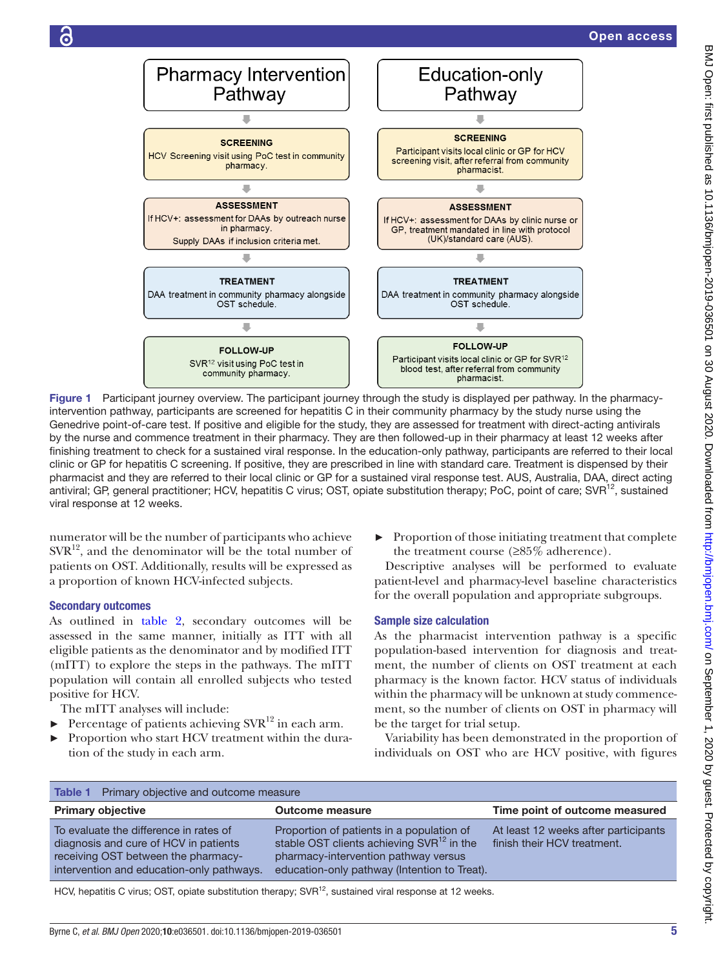

<span id="page-4-0"></span>Figure 1 Participant journey overview. The participant journey through the study is displayed per pathway. In the pharmacyintervention pathway, participants are screened for hepatitis C in their community pharmacy by the study nurse using the Genedrive point-of-care test. If positive and eligible for the study, they are assessed for treatment with direct-acting antivirals by the nurse and commence treatment in their pharmacy. They are then followed-up in their pharmacy at least 12 weeks after finishing treatment to check for a sustained viral response. In the education-only pathway, participants are referred to their local clinic or GP for hepatitis C screening. If positive, they are prescribed in line with standard care. Treatment is dispensed by their pharmacist and they are referred to their local clinic or GP for a sustained viral response test. AUS, Australia, DAA, direct acting antiviral; GP, general practitioner; HCV, hepatitis C virus; OST, opiate substitution therapy; PoC, point of care; SVR<sup>12</sup>, sustained viral response at 12 weeks.

numerator will be the number of participants who achieve  $SVR<sup>12</sup>$ , and the denominator will be the total number of patients on OST. Additionally, results will be expressed as a proportion of known HCV-infected subjects.

#### Secondary outcomes

As outlined in [table](#page-5-0) 2, secondary outcomes will be assessed in the same manner, initially as ITT with all eligible patients as the denominator and by modified ITT (mITT) to explore the steps in the pathways. The mITT population will contain all enrolled subjects who tested positive for HCV.

The mITT analyses will include:

- ► Percentage of patients achieving  $\text{SWR}^{12}$  in each arm.
- ► Proportion who start HCV treatment within the duration of the study in each arm.

► Proportion of those initiating treatment that complete the treatment course  $(≥85\%$  adherence).

Descriptive analyses will be performed to evaluate patient-level and pharmacy-level baseline characteristics for the overall population and appropriate subgroups.

#### Sample size calculation

As the pharmacist intervention pathway is a specific population-based intervention for diagnosis and treatment, the number of clients on OST treatment at each pharmacy is the known factor. HCV status of individuals within the pharmacy will be unknown at study commencement, so the number of clients on OST in pharmacy will be the target for trial setup.

Variability has been demonstrated in the proportion of individuals on OST who are HCV positive, with figures

<span id="page-4-1"></span>

| Primary objective and outcome measure<br>Table 1                                                                                                                    |                                                                                                                                                                                            |                                                                     |  |
|---------------------------------------------------------------------------------------------------------------------------------------------------------------------|--------------------------------------------------------------------------------------------------------------------------------------------------------------------------------------------|---------------------------------------------------------------------|--|
| <b>Primary objective</b>                                                                                                                                            | <b>Outcome measure</b>                                                                                                                                                                     | Time point of outcome measured                                      |  |
| To evaluate the difference in rates of<br>diagnosis and cure of HCV in patients<br>receiving OST between the pharmacy-<br>intervention and education-only pathways. | Proportion of patients in a population of<br>stable OST clients achieving SVR <sup>12</sup> in the<br>pharmacy-intervention pathway versus<br>education-only pathway (Intention to Treat). | At least 12 weeks after participants<br>finish their HCV treatment. |  |
|                                                                                                                                                                     |                                                                                                                                                                                            |                                                                     |  |

HCV, hepatitis C virus; OST, opiate substitution therapy;  $SVR<sup>12</sup>$ , sustained viral response at 12 weeks.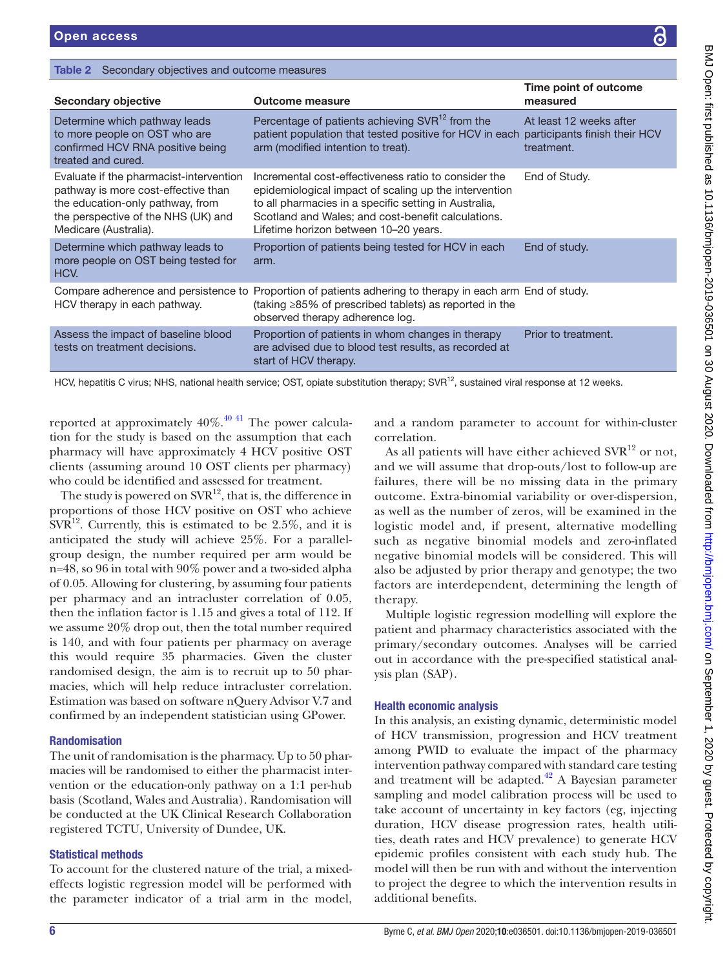#### <span id="page-5-0"></span>Table 2 Secondary objectives and outcome measures

| <b>Secondary objective</b>                                                                                                                                                         | <b>Outcome measure</b>                                                                                                                                                                                                                                                | Time point of outcome<br>measured                                      |
|------------------------------------------------------------------------------------------------------------------------------------------------------------------------------------|-----------------------------------------------------------------------------------------------------------------------------------------------------------------------------------------------------------------------------------------------------------------------|------------------------------------------------------------------------|
| Determine which pathway leads<br>to more people on OST who are<br>confirmed HCV RNA positive being<br>treated and cured.                                                           | Percentage of patients achieving $SVR^{12}$ from the<br>patient population that tested positive for HCV in each<br>arm (modified intention to treat).                                                                                                                 | At least 12 weeks after<br>participants finish their HCV<br>treatment. |
| Evaluate if the pharmacist-intervention<br>pathway is more cost-effective than<br>the education-only pathway, from<br>the perspective of the NHS (UK) and<br>Medicare (Australia). | Incremental cost-effectiveness ratio to consider the<br>epidemiological impact of scaling up the intervention<br>to all pharmacies in a specific setting in Australia,<br>Scotland and Wales; and cost-benefit calculations.<br>Lifetime horizon between 10-20 years. | End of Study.                                                          |
| Determine which pathway leads to<br>more people on OST being tested for<br>HCV.                                                                                                    | Proportion of patients being tested for HCV in each<br>arm.                                                                                                                                                                                                           | End of study.                                                          |
| Compare adherence and persistence to<br>HCV therapy in each pathway.                                                                                                               | Proportion of patients adhering to therapy in each arm End of study.<br>(taking $\geq$ 85% of prescribed tablets) as reported in the<br>observed therapy adherence log.                                                                                               |                                                                        |
| Assess the impact of baseline blood<br>tests on treatment decisions.                                                                                                               | Proportion of patients in whom changes in therapy<br>are advised due to blood test results, as recorded at<br>start of HCV therapy.                                                                                                                                   | Prior to treatment.                                                    |

HCV, hepatitis C virus; NHS, national health service; OST, opiate substitution therapy; SVR<sup>12</sup>, sustained viral response at 12 weeks.

reported at approximately  $40\%$ .<sup>40 41</sup> The power calculation for the study is based on the assumption that each pharmacy will have approximately 4 HCV positive OST clients (assuming around 10 OST clients per pharmacy) who could be identified and assessed for treatment.

The study is powered on  $\text{SVR}^{12}$ , that is, the difference in proportions of those HCV positive on OST who achieve  $SVR<sup>12</sup>$ . Currently, this is estimated to be 2.5%, and it is anticipated the study will achieve 25%. For a parallelgroup design, the number required per arm would be n=48, so 96 in total with 90% power and a two-sided alpha of 0.05. Allowing for clustering, by assuming four patients per pharmacy and an intracluster correlation of 0.05, then the inflation factor is 1.15 and gives a total of 112. If we assume 20% drop out, then the total number required is 140, and with four patients per pharmacy on average this would require 35 pharmacies. Given the cluster randomised design, the aim is to recruit up to 50 pharmacies, which will help reduce intracluster correlation. Estimation was based on software nQuery Advisor V.7 and confirmed by an independent statistician using GPower.

## Randomisation

The unit of randomisation is the pharmacy. Up to 50 pharmacies will be randomised to either the pharmacist intervention or the education-only pathway on a 1:1 per-hub basis (Scotland, Wales and Australia). Randomisation will be conducted at the UK Clinical Research Collaboration registered TCTU, University of Dundee, UK.

## Statistical methods

To account for the clustered nature of the trial, a mixedeffects logistic regression model will be performed with the parameter indicator of a trial arm in the model, and a random parameter to account for within-cluster correlation.

As all patients will have either achieved  $\text{SNR}^{12}$  or not, and we will assume that drop-outs/lost to follow-up are failures, there will be no missing data in the primary outcome. Extra-binomial variability or over-dispersion, as well as the number of zeros, will be examined in the logistic model and, if present, alternative modelling such as negative binomial models and zero-inflated negative binomial models will be considered. This will also be adjusted by prior therapy and genotype; the two factors are interdependent, determining the length of therapy.

Multiple logistic regression modelling will explore the patient and pharmacy characteristics associated with the primary/secondary outcomes. Analyses will be carried out in accordance with the pre-specified statistical analysis plan (SAP).

## Health economic analysis

In this analysis, an existing dynamic, deterministic model of HCV transmission, progression and HCV treatment among PWID to evaluate the impact of the pharmacy intervention pathway compared with standard care testing and treatment will be adapted. $42$  A Bayesian parameter sampling and model calibration process will be used to take account of uncertainty in key factors (eg, injecting duration, HCV disease progression rates, health utilities, death rates and HCV prevalence) to generate HCV epidemic profiles consistent with each study hub. The model will then be run with and without the intervention to project the degree to which the intervention results in additional benefits.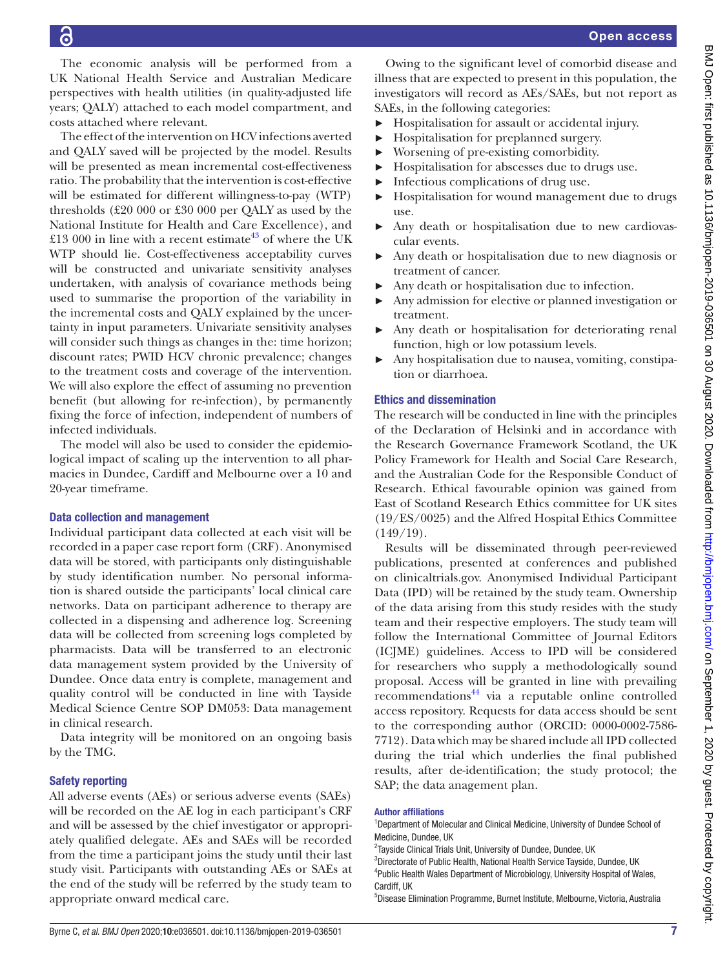The economic analysis will be performed from a UK National Health Service and Australian Medicare perspectives with health utilities (in quality-adjusted life years; QALY) attached to each model compartment, and costs attached where relevant.

The effect of the intervention on HCV infections averted and QALY saved will be projected by the model. Results will be presented as mean incremental cost-effectiveness ratio. The probability that the intervention is cost-effective will be estimated for different willingness-to-pay (WTP) thresholds (£20 000 or £30 000 per QALY as used by the National Institute for Health and Care Excellence), and £13 000 in line with a recent estimate<sup>[43](#page-8-5)</sup> of where the UK WTP should lie. Cost-effectiveness acceptability curves will be constructed and univariate sensitivity analyses undertaken, with analysis of covariance methods being used to summarise the proportion of the variability in the incremental costs and QALY explained by the uncertainty in input parameters. Univariate sensitivity analyses will consider such things as changes in the: time horizon; discount rates; PWID HCV chronic prevalence; changes to the treatment costs and coverage of the intervention. We will also explore the effect of assuming no prevention benefit (but allowing for re-infection), by permanently fixing the force of infection, independent of numbers of infected individuals.

The model will also be used to consider the epidemiological impact of scaling up the intervention to all pharmacies in Dundee, Cardiff and Melbourne over a 10 and 20-year timeframe.

## Data collection and management

Individual participant data collected at each visit will be recorded in a paper case report form (CRF). Anonymised data will be stored, with participants only distinguishable by study identification number. No personal information is shared outside the participants' local clinical care networks. Data on participant adherence to therapy are collected in a dispensing and adherence log. Screening data will be collected from screening logs completed by pharmacists. Data will be transferred to an electronic data management system provided by the University of Dundee. Once data entry is complete, management and quality control will be conducted in line with Tayside Medical Science Centre SOP DM053: Data management in clinical research.

Data integrity will be monitored on an ongoing basis by the TMG.

## Safety reporting

All adverse events (AEs) or serious adverse events (SAEs) will be recorded on the AE log in each participant's CRF and will be assessed by the chief investigator or appropriately qualified delegate. AEs and SAEs will be recorded from the time a participant joins the study until their last study visit. Participants with outstanding AEs or SAEs at the end of the study will be referred by the study team to appropriate onward medical care.

Owing to the significant level of comorbid disease and illness that are expected to present in this population, the investigators will record as AEs/SAEs, but not report as SAEs, in the following categories:

- ► Hospitalisation for assault or accidental injury.
- ► Hospitalisation for preplanned surgery.
- ► Worsening of pre-existing comorbidity.
- ► Hospitalisation for abscesses due to drugs use.
- ► Infectious complications of drug use.
- ► Hospitalisation for wound management due to drugs use.
- Any death or hospitalisation due to new cardiovascular events.
- ► Any death or hospitalisation due to new diagnosis or treatment of cancer.
- Any death or hospitalisation due to infection.
- Any admission for elective or planned investigation or treatment.
- ► Any death or hospitalisation for deteriorating renal function, high or low potassium levels.
- Any hospitalisation due to nausea, vomiting, constipation or diarrhoea.

## Ethics and dissemination

The research will be conducted in line with the principles of the Declaration of Helsinki and in accordance with the Research Governance Framework Scotland, the UK Policy Framework for Health and Social Care Research, and the Australian Code for the Responsible Conduct of Research. Ethical favourable opinion was gained from East of Scotland Research Ethics committee for UK sites (19/ES/0025) and the Alfred Hospital Ethics Committee  $(149/19)$ .

Results will be disseminated through peer-reviewed publications, presented at conferences and published on clinicaltrials.gov. Anonymised Individual Participant Data (IPD) will be retained by the study team. Ownership of the data arising from this study resides with the study team and their respective employers. The study team will follow the International Committee of Journal Editors (ICJME) guidelines. Access to IPD will be considered for researchers who supply a methodologically sound proposal. Access will be granted in line with prevailing recommendations<sup>44</sup> via a reputable online controlled access repository. Requests for data access should be sent to the corresponding author (ORCID: 0000-0002-7586- 7712). Data which may be shared include all IPD collected during the trial which underlies the final published results, after de-identification; the study protocol; the SAP; the data anagement plan.

#### Author affiliations

<sup>1</sup>Department of Molecular and Clinical Medicine, University of Dundee School of Medicine, Dundee, UK

<sup>2</sup>Tayside Clinical Trials Unit, University of Dundee, Dundee, UK

<sup>3</sup>Directorate of Public Health, National Health Service Tayside, Dundee, UK 4 Public Health Wales Department of Microbiology, University Hospital of Wales, Cardiff, UK

5 Disease Elimination Programme, Burnet Institute, Melbourne, Victoria, Australia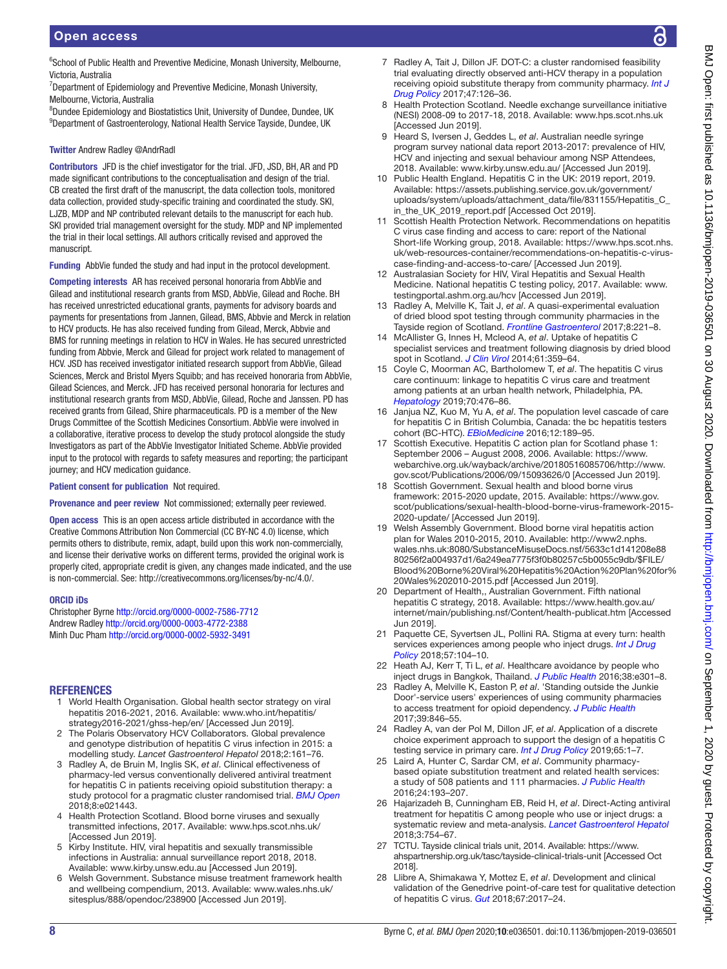<sup>6</sup>School of Public Health and Preventive Medicine, Monash University, Melbourne, Victoria, Australia

<sup>7</sup>Department of Epidemiology and Preventive Medicine, Monash University, Melbourne, Victoria, Australia

<sup>8</sup>Dundee Epidemiology and Biostatistics Unit, University of Dundee, Dundee, UK 9 Department of Gastroenterology, National Health Service Tayside, Dundee, UK

#### Twitter Andrew Radley [@AndrRadl](https://twitter.com/AndrRadl)

Contributors JFD is the chief investigator for the trial. JFD, JSD, BH, AR and PD made significant contributions to the conceptualisation and design of the trial. CB created the first draft of the manuscript, the data collection tools, monitored data collection, provided study-specific training and coordinated the study. SKI, LJZB, MDP and NP contributed relevant details to the manuscript for each hub. SKI provided trial management oversight for the study. MDP and NP implemented the trial in their local settings. All authors critically revised and approved the manuscript.

Funding AbbVie funded the study and had input in the protocol development.

Competing interests AR has received personal honoraria from AbbVie and Gilead and institutional research grants from MSD, AbbVie, Gilead and Roche. BH has received unrestricted educational grants, payments for advisory boards and payments for presentations from Jannen, Gilead, BMS, Abbvie and Merck in relation to HCV products. He has also received funding from Gilead, Merck, Abbvie and BMS for running meetings in relation to HCV in Wales. He has secured unrestricted funding from Abbvie, Merck and Gilead for project work related to management of HCV. JSD has received investigator initiated research support from AbbVie, Gilead Sciences, Merck and Bristol Myers Squibb; and has received honoraria from AbbVie, Gilead Sciences, and Merck. JFD has received personal honoraria for lectures and institutional research grants from MSD, AbbVie, Gilead, Roche and Janssen. PD has received grants from Gilead, Shire pharmaceuticals. PD is a member of the New Drugs Committee of the Scottish Medicines Consortium. AbbVie were involved in a collaborative, iterative process to develop the study protocol alongside the study Investigators as part of the AbbVie Investigator Initiated Scheme. AbbVie provided input to the protocol with regards to safety measures and reporting; the participant journey; and HCV medication guidance.

Patient consent for publication Not required.

Provenance and peer review Not commissioned; externally peer reviewed.

Open access This is an open access article distributed in accordance with the Creative Commons Attribution Non Commercial (CC BY-NC 4.0) license, which permits others to distribute, remix, adapt, build upon this work non-commercially, and license their derivative works on different terms, provided the original work is properly cited, appropriate credit is given, any changes made indicated, and the use is non-commercial. See: [http://creativecommons.org/licenses/by-nc/4.0/.](http://creativecommons.org/licenses/by-nc/4.0/)

#### ORCID iDs

Christopher Byrne<http://orcid.org/0000-0002-7586-7712> Andrew Radley <http://orcid.org/0000-0003-4772-2388> Minh Duc Pham<http://orcid.org/0000-0002-5932-3491>

#### REFERENCES

- <span id="page-7-0"></span>1 World Health Organisation. Global health sector strategy on viral hepatitis 2016-2021, 2016. Available: [www.who.int/hepatitis/](www.who.int/hepatitis/strategy2016-2021/ghss-hep/en/) [strategy2016-2021/ghss-hep/en/](www.who.int/hepatitis/strategy2016-2021/ghss-hep/en/) [Accessed Jun 2019].
- <span id="page-7-1"></span>2 The Polaris Observatory HCV Collaborators. Global prevalence and genotype distribution of hepatitis C virus infection in 2015: a modelling study. *Lancet Gastroenterol Hepatol* 2018;2:161–76.
- <span id="page-7-2"></span>3 Radley A, de Bruin M, Inglis SK, *et al*. Clinical effectiveness of pharmacy-led versus conventionally delivered antiviral treatment for hepatitis C in patients receiving opioid substitution therapy: a study protocol for a pragmatic cluster randomised trial. *[BMJ Open](http://dx.doi.org/10.1136/bmjopen-2017-021443)* 2018;8:e021443.
- 4 Health Protection Scotland. Blood borne viruses and sexually transmitted infections, 2017. Available:<www.hps.scot.nhs.uk/> [Accessed Jun 2019].
- 5 Kirby Institute. HIV, viral hepatitis and sexually transmissible infections in Australia: annual surveillance report 2018, 2018. Available: <www.kirby.unsw.edu.au>[Accessed Jun 2019].
- 6 Welsh Government. Substance misuse treatment framework health and wellbeing compendium, 2013. Available: [www.wales.nhs.uk/](www.wales.nhs.uk/sitesplus/888/opendoc/238900) [sitesplus/888/opendoc/238900](www.wales.nhs.uk/sitesplus/888/opendoc/238900) [Accessed Jun 2019].
- <span id="page-7-3"></span>7 Radley A, Tait J, Dillon JF. DOT-C: a cluster randomised feasibility trial evaluating directly observed anti-HCV therapy in a population receiving opioid substitute therapy from community pharmacy. *[Int J](http://dx.doi.org/10.1016/j.drugpo.2017.05.042)  [Drug Policy](http://dx.doi.org/10.1016/j.drugpo.2017.05.042)* 2017;47:126–36.
- <span id="page-7-4"></span>8 Health Protection Scotland. Needle exchange surveillance initiative (NESI) 2008-09 to 2017-18, 2018. Available: <www.hps.scot.nhs.uk> [Accessed Jun 2019].
- <span id="page-7-6"></span>9 Heard S, Iversen J, Geddes L, *et al*. Australian needle syringe program survey national data report 2013-2017: prevalence of HIV, HCV and injecting and sexual behaviour among NSP Attendees, 2018. Available: <www.kirby.unsw.edu.au/> [Accessed Jun 2019].
- 10 Public Health England. Hepatitis C in the UK: 2019 report, 2019. Available: [https://assets.publishing.service.gov.uk/government/](https://assets.publishing.service.gov.uk/government/uploads/system/uploads/attachment_data/file/831155/Hepatitis_C_in_the_UK_2019_report.pdf) [uploads/system/uploads/attachment\\_data/file/831155/Hepatitis\\_C\\_](https://assets.publishing.service.gov.uk/government/uploads/system/uploads/attachment_data/file/831155/Hepatitis_C_in_the_UK_2019_report.pdf) [in\\_the\\_UK\\_2019\\_report.pdf](https://assets.publishing.service.gov.uk/government/uploads/system/uploads/attachment_data/file/831155/Hepatitis_C_in_the_UK_2019_report.pdf) [Accessed Oct 2019].
- <span id="page-7-5"></span>11 Scottish Health Protection Network. Recommendations on hepatitis C virus case finding and access to care: report of the National Short-life Working group, 2018. Available: [https://www.hps.scot.nhs.](https://www.hps.scot.nhs.uk/web-resources-container/recommendations-on-hepatitis-c-virus-case-finding-and-access-to-care/) [uk/web-resources-container/recommendations-on-hepatitis-c-virus](https://www.hps.scot.nhs.uk/web-resources-container/recommendations-on-hepatitis-c-virus-case-finding-and-access-to-care/)[case-finding-and-access-to-care/](https://www.hps.scot.nhs.uk/web-resources-container/recommendations-on-hepatitis-c-virus-case-finding-and-access-to-care/) [Accessed Jun 2019].
- 12 Australasian Society for HIV, Viral Hepatitis and Sexual Health Medicine. National hepatitis C testing policy, 2017. Available: [www.](www.testingportal.ashm.org.au/hcv) [testingportal.ashm.org.au/hcv](www.testingportal.ashm.org.au/hcv) [Accessed Jun 2019].
- 13 Radley A, Melville K, Tait J, *et al*. A quasi-experimental evaluation of dried blood spot testing through community pharmacies in the Tayside region of Scotland. *[Frontline Gastroenterol](http://dx.doi.org/10.1136/flgastro-2016-100776)* 2017;8:221–8.
- 14 McAllister G, Innes H, Mcleod A, *et al*. Uptake of hepatitis C specialist services and treatment following diagnosis by dried blood spot in Scotland. *[J Clin Virol](http://dx.doi.org/10.1016/j.jcv.2014.09.004)* 2014;61:359–64.
- 15 Coyle C, Moorman AC, Bartholomew T, *et al*. The hepatitis C virus care continuum: linkage to hepatitis C virus care and treatment among patients at an urban health network, Philadelphia, PA. *[Hepatology](http://dx.doi.org/10.1002/hep.30501)* 2019;70:476–86.
- <span id="page-7-7"></span>16 Janjua NZ, Kuo M, Yu A, *et al*. The population level cascade of care for hepatitis C in British Columbia, Canada: the bc hepatitis testers cohort (BC-HTC). *[EBioMedicine](http://dx.doi.org/10.1016/j.ebiom.2016.08.035)* 2016;12:189–95.
- <span id="page-7-8"></span>17 Scottish Executive. Hepatitis C action plan for Scotland phase 1: September 2006 – August 2008, 2006. Available: [https://www.](https://www.webarchive.org.uk/wayback/archive/20180516085706/http://www.gov.scot/Publications/2006/09/15093626/0) [webarchive.org.uk/wayback/archive/20180516085706/http://www.](https://www.webarchive.org.uk/wayback/archive/20180516085706/http://www.gov.scot/Publications/2006/09/15093626/0) [gov.scot/Publications/2006/09/15093626/0](https://www.webarchive.org.uk/wayback/archive/20180516085706/http://www.gov.scot/Publications/2006/09/15093626/0) [Accessed Jun 2019].
- 18 Scottish Government. Sexual health and blood borne virus framework: 2015-2020 update, 2015. Available: [https://www.gov.](https://www.gov.scot/publications/sexual-health-blood-borne-virus-framework-2015-2020-update/) [scot/publications/sexual-health-blood-borne-virus-framework-2015-](https://www.gov.scot/publications/sexual-health-blood-borne-virus-framework-2015-2020-update/) [2020-update/](https://www.gov.scot/publications/sexual-health-blood-borne-virus-framework-2015-2020-update/) [Accessed Jun 2019].
- 19 Welsh Assembly Government. Blood borne viral hepatitis action plan for Wales 2010-2015, 2010. Available: [http://www2.nphs.](http://www2.nphs.wales.nhs.uk:8080/SubstanceMisuseDocs.nsf/5633c1d141208e8880256f2a004937d1/6a249ea7775f3f0b80257c5b0055c9db/$FILE/Blood%20Borne%20Viral%20Hepatitis%20Action%20Plan%20for%20Wales%202010-2015.pdf) [wales.nhs.uk:8080/SubstanceMisuseDocs.nsf/5633c1d141208e88](http://www2.nphs.wales.nhs.uk:8080/SubstanceMisuseDocs.nsf/5633c1d141208e8880256f2a004937d1/6a249ea7775f3f0b80257c5b0055c9db/$FILE/Blood%20Borne%20Viral%20Hepatitis%20Action%20Plan%20for%20Wales%202010-2015.pdf) [80256f2a004937d1/6a249ea7775f3f0b80257c5b0055c9db/\\$FILE/](http://www2.nphs.wales.nhs.uk:8080/SubstanceMisuseDocs.nsf/5633c1d141208e8880256f2a004937d1/6a249ea7775f3f0b80257c5b0055c9db/$FILE/Blood%20Borne%20Viral%20Hepatitis%20Action%20Plan%20for%20Wales%202010-2015.pdf) [Blood%20Borne%20Viral%20Hepatitis%20Action%20Plan%20for%](http://www2.nphs.wales.nhs.uk:8080/SubstanceMisuseDocs.nsf/5633c1d141208e8880256f2a004937d1/6a249ea7775f3f0b80257c5b0055c9db/$FILE/Blood%20Borne%20Viral%20Hepatitis%20Action%20Plan%20for%20Wales%202010-2015.pdf) [20Wales%202010-2015.pdf](http://www2.nphs.wales.nhs.uk:8080/SubstanceMisuseDocs.nsf/5633c1d141208e8880256f2a004937d1/6a249ea7775f3f0b80257c5b0055c9db/$FILE/Blood%20Borne%20Viral%20Hepatitis%20Action%20Plan%20for%20Wales%202010-2015.pdf) [Accessed Jun 2019].
- <span id="page-7-16"></span>20 Department of Health,, Australian Government. Fifth national hepatitis C strategy, 2018. Available: [https://www.health.gov.au/](https://www.health.gov.au/internet/main/publishing.nsf/Content/health-publicat.htm) [internet/main/publishing.nsf/Content/health-publicat.htm](https://www.health.gov.au/internet/main/publishing.nsf/Content/health-publicat.htm) [Accessed Jun 2019].
- <span id="page-7-9"></span>21 Paquette CE, Syvertsen JL, Pollini RA. Stigma at every turn: health services experiences among people who inject drugs. *[Int J Drug](http://dx.doi.org/10.1016/j.drugpo.2018.04.004)  [Policy](http://dx.doi.org/10.1016/j.drugpo.2018.04.004)* 2018;57:104–10.
- <span id="page-7-10"></span>22 Heath AJ, Kerr T, Ti L, *et al*. Healthcare avoidance by people who inject drugs in Bangkok, Thailand. *[J Public Health](http://dx.doi.org/10.1093/pubmed/fdv143)* 2016;38:e301–8.
- <span id="page-7-11"></span>23 Radley A, Melville K, Easton P, *et al*. 'Standing outside the Junkie Door'-service users' experiences of using community pharmacies to access treatment for opioid dependency. *[J Public Health](http://dx.doi.org/10.1093/pubmed/fdw138)* 2017;39:846–55.
- <span id="page-7-12"></span>24 Radley A, van der Pol M, Dillon JF, *et al*. Application of a discrete choice experiment approach to support the design of a hepatitis C testing service in primary care. *[Int J Drug Policy](http://dx.doi.org/10.1016/j.drugpo.2018.12.008)* 2019;65:1–7.
- 25 Laird A, Hunter C, Sardar CM, *et al*. Community pharmacybased opiate substitution treatment and related health services: a study of 508 patients and 111 pharmacies. *[J Public Health](http://dx.doi.org/10.1007/s10389-016-0714-y)* 2016;24:193–207.
- <span id="page-7-13"></span>26 Hajarizadeh B, Cunningham EB, Reid H, *et al*. Direct-Acting antiviral treatment for hepatitis C among people who use or inject drugs: a systematic review and meta-analysis. *[Lancet Gastroenterol Hepatol](http://dx.doi.org/10.1016/S2468-1253(18)30304-2)* 2018;3:754–67.
- <span id="page-7-14"></span>27 TCTU. Tayside clinical trials unit, 2014. Available: [https://www.](https://www.ahspartnership.org.uk/tasc/tayside-clinical-trials-unit) [ahspartnership.org.uk/tasc/tayside-clinical-trials-unit](https://www.ahspartnership.org.uk/tasc/tayside-clinical-trials-unit) [Accessed Oct 2018].
- <span id="page-7-15"></span>28 Llibre A, Shimakawa Y, Mottez E, *et al*. Development and clinical validation of the Genedrive point-of-care test for qualitative detection of hepatitis C virus. *[Gut](http://dx.doi.org/10.1136/gutjnl-2017-315783)* 2018;67:2017–24.